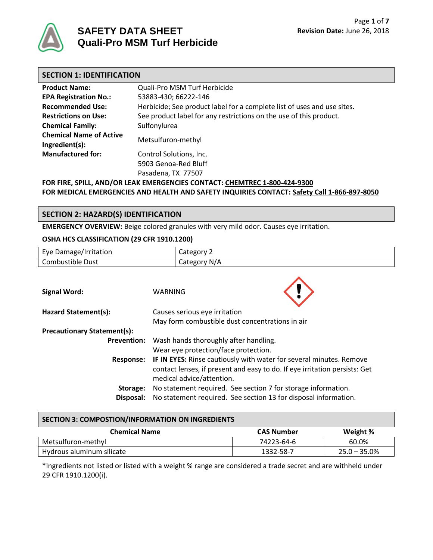

## **SAFETY DATA SHEET Quali-Pro MSM Turf Herbicide**

| <b>SECTION 1: IDENTIFICATION</b>                 |                                                                         |
|--------------------------------------------------|-------------------------------------------------------------------------|
| <b>Product Name:</b>                             | Quali-Pro MSM Turf Herbicide                                            |
| <b>EPA Registration No.:</b>                     | 53883-430; 66222-146                                                    |
| <b>Recommended Use:</b>                          | Herbicide; See product label for a complete list of uses and use sites. |
| <b>Restrictions on Use:</b>                      | See product label for any restrictions on the use of this product.      |
| <b>Chemical Family:</b>                          | Sulfonylurea                                                            |
| <b>Chemical Name of Active</b><br>Ingredient(s): | Metsulfuron-methyl                                                      |
| <b>Manufactured for:</b>                         | Control Solutions, Inc.                                                 |
|                                                  | 5903 Genoa-Red Bluff<br>Pasadena, TX 77507                              |

**FOR FIRE, SPILL, AND/OR LEAK EMERGENCIES CONTACT: CHEMTREC 1-800-424-9300 FOR MEDICAL EMERGENCIES AND HEALTH AND SAFETY INQUIRIES CONTACT: Safety Call 1-866-897-8050**

#### **SECTION 2: HAZARD(S) IDENTIFICATION**

**EMERGENCY OVERVIEW:** Beige colored granules with very mild odor. Causes eye irritation.

#### **OSHA HCS CLASSIFICATION (29 CFR 1910.1200)**

| Eye Damage/Irritation                                                                                                                                                                              | Category 2                                                      |  |
|----------------------------------------------------------------------------------------------------------------------------------------------------------------------------------------------------|-----------------------------------------------------------------|--|
| Combustible Dust                                                                                                                                                                                   | Category N/A                                                    |  |
|                                                                                                                                                                                                    |                                                                 |  |
| <b>Signal Word:</b>                                                                                                                                                                                | WARNING                                                         |  |
| Hazard Statement(s):                                                                                                                                                                               | Causes serious eye irritation                                   |  |
| May form combustible dust concentrations in air                                                                                                                                                    |                                                                 |  |
| <b>Precautionary Statement(s):</b>                                                                                                                                                                 |                                                                 |  |
| Wash hands thoroughly after handling.<br><b>Prevention:</b>                                                                                                                                        |                                                                 |  |
| Wear eye protection/face protection.                                                                                                                                                               |                                                                 |  |
| IF IN EYES: Rinse cautiously with water for several minutes. Remove<br><b>Response:</b><br>contact lenses, if present and easy to do. If eye irritation persists: Get<br>medical advice/attention. |                                                                 |  |
| Storage:                                                                                                                                                                                           | No statement required. See section 7 for storage information.   |  |
| Disposal:                                                                                                                                                                                          | No statement required. See section 13 for disposal information. |  |

#### **SECTION 3: COMPOSTION/INFORMATION ON INGREDIENTS**

| <b>Chemical Name</b>      | <b>CAS Number</b> | Weight %        |
|---------------------------|-------------------|-----------------|
| Metsulfuron-methyl        | 74223-64-6        | 60.0%           |
| Hydrous aluminum silicate | 1332-58-7         | $25.0 - 35.0\%$ |

\*Ingredients not listed or listed with a weight % range are considered a trade secret and are withheld under 29 CFR 1910.1200(i).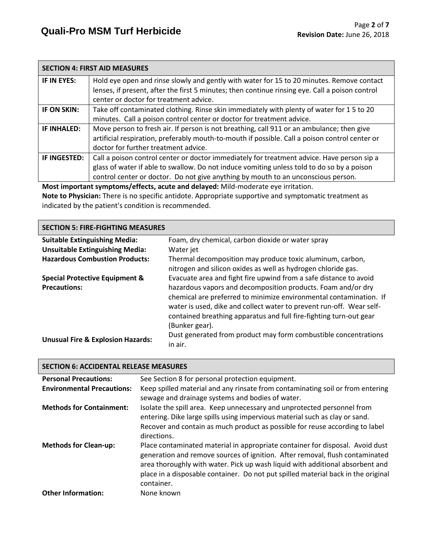|                                                                                   | <b>SECTION 4: FIRST AID MEASURES</b>                                                            |  |
|-----------------------------------------------------------------------------------|-------------------------------------------------------------------------------------------------|--|
| IF IN EYES:                                                                       | Hold eye open and rinse slowly and gently with water for 15 to 20 minutes. Remove contact       |  |
|                                                                                   | lenses, if present, after the first 5 minutes; then continue rinsing eye. Call a poison control |  |
|                                                                                   | center or doctor for treatment advice.                                                          |  |
| IF ON SKIN:                                                                       | Take off contaminated clothing. Rinse skin immediately with plenty of water for 15 to 20        |  |
|                                                                                   | minutes. Call a poison control center or doctor for treatment advice.                           |  |
| IF INHALED:                                                                       | Move person to fresh air. If person is not breathing, call 911 or an ambulance; then give       |  |
|                                                                                   | artificial respiration, preferably mouth-to-mouth if possible. Call a poison control center or  |  |
|                                                                                   | doctor for further treatment advice.                                                            |  |
| IF INGESTED:                                                                      | Call a poison control center or doctor immediately for treatment advice. Have person sip a      |  |
|                                                                                   | glass of water if able to swallow. Do not induce vomiting unless told to do so by a poison      |  |
|                                                                                   | control center or doctor. Do not give anything by mouth to an unconscious person.               |  |
| Most important symptoms/effects, acute and delayed: Mild-moderate eye irritation. |                                                                                                 |  |

**Note to Physician:** There is no specific antidote. Appropriate supportive and symptomatic treatment as indicated by the patient's condition is recommended.

| <b>SECTION 5: FIRE-FIGHTING MEASURES</b>     |                                                                                                                                                                                                                                                                                                    |  |  |  |
|----------------------------------------------|----------------------------------------------------------------------------------------------------------------------------------------------------------------------------------------------------------------------------------------------------------------------------------------------------|--|--|--|
| <b>Suitable Extinguishing Media:</b>         | Foam, dry chemical, carbon dioxide or water spray                                                                                                                                                                                                                                                  |  |  |  |
| <b>Unsuitable Extinguishing Media:</b>       | Water jet                                                                                                                                                                                                                                                                                          |  |  |  |
| <b>Hazardous Combustion Products:</b>        | Thermal decomposition may produce toxic aluminum, carbon,<br>nitrogen and silicon oxides as well as hydrogen chloride gas.                                                                                                                                                                         |  |  |  |
| <b>Special Protective Equipment &amp;</b>    | Evacuate area and fight fire upwind from a safe distance to avoid                                                                                                                                                                                                                                  |  |  |  |
| <b>Precautions:</b>                          | hazardous vapors and decomposition products. Foam and/or dry<br>chemical are preferred to minimize environmental contamination. If<br>water is used, dike and collect water to prevent run-off. Wear self-<br>contained breathing apparatus and full fire-fighting turn-out gear<br>(Bunker gear). |  |  |  |
| <b>Unusual Fire &amp; Explosion Hazards:</b> | Dust generated from product may form combustible concentrations<br>in air.                                                                                                                                                                                                                         |  |  |  |

| <b>SECTION 6: ACCIDENTAL RELEASE MEASURES</b> |                                                                                                                                                                                                                                                                                                                                                   |  |  |
|-----------------------------------------------|---------------------------------------------------------------------------------------------------------------------------------------------------------------------------------------------------------------------------------------------------------------------------------------------------------------------------------------------------|--|--|
| <b>Personal Precautions:</b>                  | See Section 8 for personal protection equipment.                                                                                                                                                                                                                                                                                                  |  |  |
| <b>Environmental Precautions:</b>             | Keep spilled material and any rinsate from contaminating soil or from entering<br>sewage and drainage systems and bodies of water.                                                                                                                                                                                                                |  |  |
| <b>Methods for Containment:</b>               | Isolate the spill area. Keep unnecessary and unprotected personnel from<br>entering. Dike large spills using impervious material such as clay or sand.<br>Recover and contain as much product as possible for reuse according to label<br>directions.                                                                                             |  |  |
| <b>Methods for Clean-up:</b>                  | Place contaminated material in appropriate container for disposal. Avoid dust<br>generation and remove sources of ignition. After removal, flush contaminated<br>area thoroughly with water. Pick up wash liquid with additional absorbent and<br>place in a disposable container. Do not put spilled material back in the original<br>container. |  |  |
| <b>Other Information:</b>                     | None known                                                                                                                                                                                                                                                                                                                                        |  |  |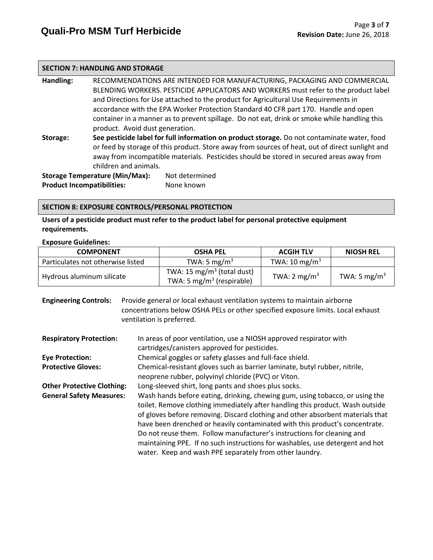#### **SECTION 7: HANDLING AND STORAGE**

**Handling:** RECOMMENDATIONS ARE INTENDED FOR MANUFACTURING, PACKAGING AND COMMERCIAL BLENDING WORKERS. PESTICIDE APPLICATORS AND WORKERS must refer to the product label and Directions for Use attached to the product for Agricultural Use Requirements in accordance with the EPA Worker Protection Standard 40 CFR part 170.Handle and open container in a manner as to prevent spillage. Do not eat, drink or smoke while handling this product. Avoid dust generation. **Storage: See pesticide label for full information on product storage.** Do not contaminate water, food or feed by storage of this product. Store away from sources of heat, out of direct sunlight and away from incompatible materials. Pesticides should be stored in secured areas away from

children and animals. **Storage Temperature (Min/Max):** Not determined **Product Incompatibilities:** None known

#### **SECTION 8: EXPOSURE CONTROLS/PERSONAL PROTECTION**

**Users of a pesticide product must refer to the product label for personal protective equipment requirements.**

#### **Exposure Guidelines:**

| <b>COMPONENT</b>                  | <b>OSHA PEL</b>                                                       | <b>ACGIH TLV</b>         | <b>NIOSH REL</b>         |
|-----------------------------------|-----------------------------------------------------------------------|--------------------------|--------------------------|
| Particulates not otherwise listed | TWA: 5 mg/m <sup>3</sup>                                              | TWA: $10 \text{ mg/m}^3$ |                          |
| Hydrous aluminum silicate         | TWA: 15 $mg/m3$ (total dust)<br>TWA: 5 mg/m <sup>3</sup> (respirable) | TWA: $2 \text{ mg/m}^3$  | TWA: 5 mg/m <sup>3</sup> |

**Engineering Controls:** Provide general or local exhaust ventilation systems to maintain airborne concentrations below OSHA PELs or other specified exposure limits. Local exhaust ventilation is preferred.

| <b>Respiratory Protection:</b>    | In areas of poor ventilation, use a NIOSH approved respirator with<br>cartridges/canisters approved for pesticides. |
|-----------------------------------|---------------------------------------------------------------------------------------------------------------------|
| <b>Eye Protection:</b>            | Chemical goggles or safety glasses and full-face shield.                                                            |
| <b>Protective Gloves:</b>         | Chemical-resistant gloves such as barrier laminate, butyl rubber, nitrile,                                          |
|                                   | neoprene rubber, polyvinyl chloride (PVC) or Viton.                                                                 |
| <b>Other Protective Clothing:</b> | Long-sleeved shirt, long pants and shoes plus socks.                                                                |
| <b>General Safety Measures:</b>   | Wash hands before eating, drinking, chewing gum, using tobacco, or using the                                        |
|                                   | toilet. Remove clothing immediately after handling this product. Wash outside                                       |
|                                   | of gloves before removing. Discard clothing and other absorbent materials that                                      |
|                                   | have been drenched or heavily contaminated with this product's concentrate.                                         |
|                                   | Do not reuse them. Follow manufacturer's instructions for cleaning and                                              |
|                                   | maintaining PPE. If no such instructions for washables, use detergent and hot                                       |
|                                   | water. Keep and wash PPE separately from other laundry.                                                             |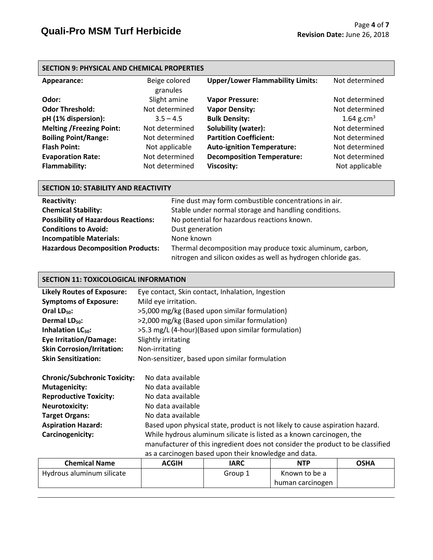| <b>SECTION 9: PHYSICAL AND CHEMICAL PROPERTIES</b> |                           |                                         |                        |  |
|----------------------------------------------------|---------------------------|-----------------------------------------|------------------------|--|
| Appearance:                                        | Beige colored<br>granules | <b>Upper/Lower Flammability Limits:</b> | Not determined         |  |
| Odor:                                              | Slight amine              | <b>Vapor Pressure:</b>                  | Not determined         |  |
| <b>Odor Threshold:</b>                             | Not determined            | <b>Vapor Density:</b>                   | Not determined         |  |
| pH (1% dispersion):                                | $3.5 - 4.5$               | <b>Bulk Density:</b>                    | 1.64 g.cm <sup>3</sup> |  |
| <b>Melting /Freezing Point:</b>                    | Not determined            | Solubility (water):                     | Not determined         |  |
| <b>Boiling Point/Range:</b>                        | Not determined            | <b>Partition Coefficient:</b>           | Not determined         |  |
| <b>Flash Point:</b>                                | Not applicable            | <b>Auto-ignition Temperature:</b>       | Not determined         |  |
| <b>Evaporation Rate:</b>                           | Not determined            | <b>Decomposition Temperature:</b>       | Not determined         |  |
| Flammability:                                      | Not determined            | <b>Viscosity:</b>                       | Not applicable         |  |

| SECTION 10: STABILITY AND REACTIVITY                                        |                                                                                                                            |  |  |  |
|-----------------------------------------------------------------------------|----------------------------------------------------------------------------------------------------------------------------|--|--|--|
| Fine dust may form combustible concentrations in air.<br><b>Reactivity:</b> |                                                                                                                            |  |  |  |
| <b>Chemical Stability:</b>                                                  | Stable under normal storage and handling conditions.                                                                       |  |  |  |
| <b>Possibility of Hazardous Reactions:</b>                                  | No potential for hazardous reactions known.                                                                                |  |  |  |
| <b>Conditions to Avoid:</b>                                                 | Dust generation                                                                                                            |  |  |  |
| <b>Incompatible Materials:</b>                                              | None known                                                                                                                 |  |  |  |
| <b>Hazardous Decomposition Products:</b>                                    | Thermal decomposition may produce toxic aluminum, carbon,<br>nitrogen and silicon oxides as well as hydrogen chloride gas. |  |  |  |

### **SECTION 11: TOXICOLOGICAL INFORMATION**

| <b>Likely Routes of Exposure:</b>   | Eye contact, Skin contact, Inhalation, Ingestion                               |  |  |  |  |
|-------------------------------------|--------------------------------------------------------------------------------|--|--|--|--|
| <b>Symptoms of Exposure:</b>        | Mild eye irritation.                                                           |  |  |  |  |
| Oral $LD_{50}$ :                    | >5,000 mg/kg (Based upon similar formulation)                                  |  |  |  |  |
| Dermal $LD_{50}$ :                  | >2,000 mg/kg (Based upon similar formulation)                                  |  |  |  |  |
| Inhalation $LC_{50}$ :              | >5.3 mg/L (4-hour)(Based upon similar formulation)                             |  |  |  |  |
| <b>Eye Irritation/Damage:</b>       | Slightly irritating                                                            |  |  |  |  |
| <b>Skin Corrosion/Irritation:</b>   | Non-irritating                                                                 |  |  |  |  |
| <b>Skin Sensitization:</b>          | Non-sensitizer, based upon similar formulation                                 |  |  |  |  |
|                                     |                                                                                |  |  |  |  |
| <b>Chronic/Subchronic Toxicity:</b> | No data available                                                              |  |  |  |  |
| <b>Mutagenicity:</b>                | No data available                                                              |  |  |  |  |
| <b>Reproductive Toxicity:</b>       | No data available                                                              |  |  |  |  |
| <b>Neurotoxicity:</b>               | No data available                                                              |  |  |  |  |
| <b>Target Organs:</b>               | No data available                                                              |  |  |  |  |
| <b>Aspiration Hazard:</b>           | Based upon physical state, product is not likely to cause aspiration hazard.   |  |  |  |  |
| Carcinogenicity:                    | While hydrous aluminum silicate is listed as a known carcinogen, the           |  |  |  |  |
|                                     | manufacturer of this ingredient does not consider the product to be classified |  |  |  |  |
|                                     | as a carcinogen based upon their knowledge and data.                           |  |  |  |  |
|                                     |                                                                                |  |  |  |  |

| <b>Chemical Name</b>      | <b>ACGIH</b> | IARC    | <b>NTP</b>       | <b>OSHA</b> |
|---------------------------|--------------|---------|------------------|-------------|
| Hydrous aluminum silicate |              | Group 1 | Known to be a    |             |
|                           |              |         | human carcinogen |             |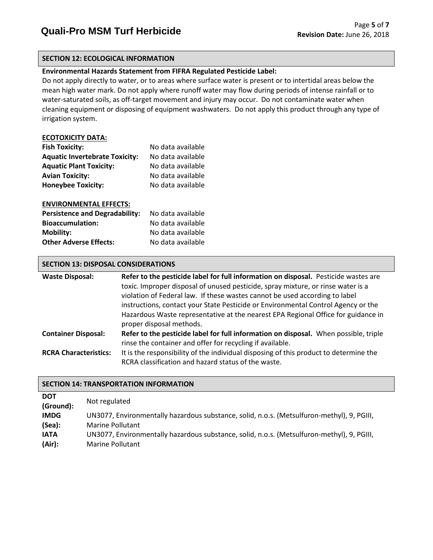#### **SECTION 12: ECOLOGICAL INFORMATION**

#### **Environmental Hazards Statement from FIFRA Regulated Pesticide Label:**

Do not apply directly to water, or to areas where surface water is present or to intertidal areas below the mean high water mark. Do not apply where runoff water may flow during periods of intense rainfall or to water-saturated soils, as off-target movement and injury may occur. Do not contaminate water when cleaning equipment or disposing of equipment washwaters. Do not apply this product through any type of irrigation system.

#### **ECOTOXICITY DATA:**

| <b>Fish Toxicity:</b>                 | No data available |
|---------------------------------------|-------------------|
| <b>Aquatic Invertebrate Toxicity:</b> | No data available |
| <b>Aquatic Plant Toxicity:</b>        | No data available |
| <b>Avian Toxicity:</b>                | No data available |
| <b>Honeybee Toxicity:</b>             | No data available |
|                                       |                   |

#### **ENVIRONMENTAL EFFECTS:**

| <b>Persistence and Degradability:</b> | No data available |
|---------------------------------------|-------------------|
| <b>Bioaccumulation:</b>               | No data available |
| <b>Mobility:</b>                      | No data available |
| <b>Other Adverse Effects:</b>         | No data available |

#### **SECTION 13: DISPOSAL CONSIDERATIONS**

| <b>Waste Disposal:</b>       | Refer to the pesticide label for full information on disposal. Pesticide wastes are<br>toxic. Improper disposal of unused pesticide, spray mixture, or rinse water is a<br>violation of Federal law. If these wastes cannot be used according to label<br>instructions, contact your State Pesticide or Environmental Control Agency or the<br>Hazardous Waste representative at the nearest EPA Regional Office for guidance in |
|------------------------------|----------------------------------------------------------------------------------------------------------------------------------------------------------------------------------------------------------------------------------------------------------------------------------------------------------------------------------------------------------------------------------------------------------------------------------|
| <b>Container Disposal:</b>   | proper disposal methods.<br>Refer to the pesticide label for full information on disposal. When possible, triple<br>rinse the container and offer for recycling if available.                                                                                                                                                                                                                                                    |
| <b>RCRA Characteristics:</b> | It is the responsibility of the individual disposing of this product to determine the<br>RCRA classification and hazard status of the waste.                                                                                                                                                                                                                                                                                     |

#### **SECTION 14: TRANSPORTATION INFORMATION**

| <b>DOT</b><br>(Ground): | Not regulated                                                                              |
|-------------------------|--------------------------------------------------------------------------------------------|
| <b>IMDG</b>             | UN3077, Environmentally hazardous substance, solid, n.o.s. (Metsulfuron-methyl), 9, PGIII, |
| (Sea):                  | <b>Marine Pollutant</b>                                                                    |
| <b>IATA</b>             | UN3077, Environmentally hazardous substance, solid, n.o.s. (Metsulfuron-methyl), 9, PGIII, |
| (Air):                  | <b>Marine Pollutant</b>                                                                    |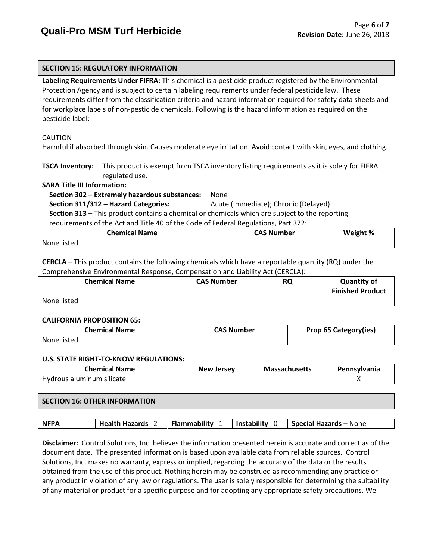#### **SECTION 15: REGULATORY INFORMATION**

**Labeling Requirements Under FIFRA:** This chemical is a pesticide product registered by the Environmental Protection Agency and is subject to certain labeling requirements under federal pesticide law. These requirements differ from the classification criteria and hazard information required for safety data sheets and for workplace labels of non-pesticide chemicals. Following is the hazard information as required on the pesticide label:

#### CAUTION

Harmful if absorbed through skin. Causes moderate eye irritation. Avoid contact with skin, eyes, and clothing.

**TSCA Inventory:** This product is exempt from TSCA inventory listing requirements as it is solely for FIFRA regulated use.

#### **SARA Title III Information:**

 **Section 302 – Extremely hazardous substances:** None

#### **Section 311/312** – **Hazard Categories:** Acute (Immediate); Chronic (Delayed)

 **Section 313 –** This product contains a chemical or chemicals which are subject to the reporting requirements of the Act and Title 40 of the Code of Federal Regulations, Part 372:

| <b>Chemical Name</b> | CAS Number | $\mathcal{H}$ %<br>w |
|----------------------|------------|----------------------|
| None<br>listed       |            |                      |

**CERCLA –** This product contains the following chemicals which have a reportable quantity (RQ) under the Comprehensive Environmental Response, Compensation and Liability Act (CERCLA):

| <b>Chemical Name</b> | <b>CAS Number</b> | <b>RQ</b> | <b>Quantity of</b><br><b>Finished Product</b> |
|----------------------|-------------------|-----------|-----------------------------------------------|
| None listed          |                   |           |                                               |

#### **CALIFORNIA PROPOSITION 65:**

| <b>Chemical Name</b> | <b>CAS Number</b> | Prop 65 Category(ies) |
|----------------------|-------------------|-----------------------|
| None listed          |                   |                       |

#### **U.S. STATE RIGHT-TO-KNOW REGULATIONS:**

| Chemical Name             | <b>New Jersey</b> | <b>Massachusetts</b> | <b>Pennsylvania</b> |
|---------------------------|-------------------|----------------------|---------------------|
| Hydrous aluminum silicate |                   |                      |                     |

#### **SECTION 16: OTHER INFORMATION**

|  | <b>NFPA</b> |  |  |  | Health Hazards 2   Flammability 1   Instability 0   Special Hazards – None |
|--|-------------|--|--|--|----------------------------------------------------------------------------|
|--|-------------|--|--|--|----------------------------------------------------------------------------|

**Disclaimer:** Control Solutions, Inc. believes the information presented herein is accurate and correct as of the document date. The presented information is based upon available data from reliable sources. Control Solutions, Inc. makes no warranty, express or implied, regarding the accuracy of the data or the results obtained from the use of this product. Nothing herein may be construed as recommending any practice or any product in violation of any law or regulations. The user is solely responsible for determining the suitability of any material or product for a specific purpose and for adopting any appropriate safety precautions. We